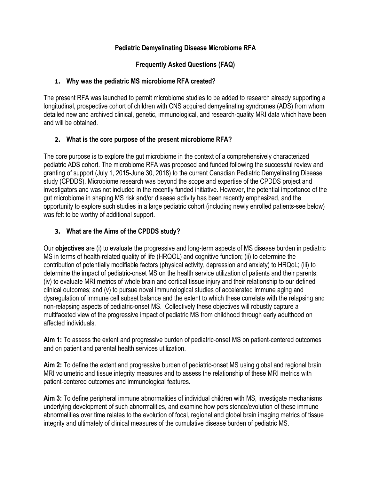## **Pediatric Demyelinating Disease Microbiome RFA**

**Frequently Asked Questions (FAQ)**

#### **1. Why was the pediatric MS microbiome RFA created?**

The present RFA was launched to permit microbiome studies to be added to research already supporting a longitudinal, prospective cohort of children with CNS acquired demyelinating syndromes (ADS) from whom detailed new and archived clinical, genetic, immunological, and research-quality MRI data which have been and will be obtained.

### **2. What is the core purpose of the present microbiome RFA?**

The core purpose is to explore the gut microbiome in the context of a comprehensively characterized pediatric ADS cohort. The microbiome RFA was proposed and funded following the successful review and granting of support (July 1, 2015-June 30, 2018) to the current Canadian Pediatric Demyelinating Disease study (CPDDS). Microbiome research was beyond the scope and expertise of the CPDDS project and investigators and was not included in the recently funded initiative. However, the potential importance of the gut microbiome in shaping MS risk and/or disease activity has been recently emphasized, and the opportunity to explore such studies in a large pediatric cohort (including newly enrolled patients-see below) was felt to be worthy of additional support.

## **3. What are the Aims of the CPDDS study?**

Our **objectives** are (i) to evaluate the progressive and long-term aspects of MS disease burden in pediatric MS in terms of health-related quality of life (HRQOL) and cognitive function; (ii) to determine the contribution of potentially modifiable factors (physical activity, depression and anxiety) to HRQoL; (iii) to determine the impact of pediatric-onset MS on the health service utilization of patients and their parents; (iv) to evaluate MRI metrics of whole brain and cortical tissue injury and their relationship to our defined clinical outcomes; and (v) to pursue novel immunological studies of accelerated immune aging and dysregulation of immune cell subset balance and the extent to which these correlate with the relapsing and non-relapsing aspects of pediatric-onset MS. Collectively these objectives will robustly capture a multifaceted view of the progressive impact of pediatric MS from childhood through early adulthood on affected individuals.

**Aim 1:** To assess the extent and progressive burden of pediatric-onset MS on patient-centered outcomes and on patient and parental health services utilization.

**Aim 2:** To define the extent and progressive burden of pediatric-onset MS using global and regional brain MRI volumetric and tissue integrity measures and to assess the relationship of these MRI metrics with patient-centered outcomes and immunological features.

**Aim 3:** To define peripheral immune abnormalities of individual children with MS, investigate mechanisms underlying development of such abnormalities, and examine how persistence/evolution of these immune abnormalities over time relates to the evolution of focal, regional and global brain imaging metrics of tissue integrity and ultimately of clinical measures of the cumulative disease burden of pediatric MS.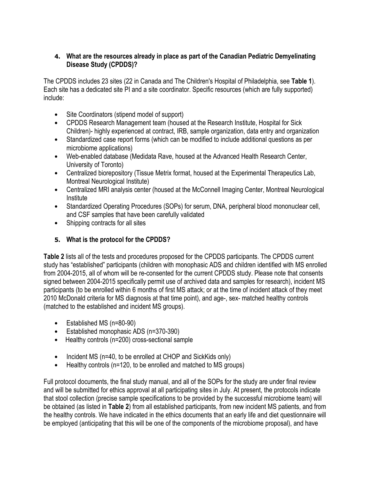#### **4. What are the resources already in place as part of the Canadian Pediatric Demyelinating Disease Study (CPDDS)?**

The CPDDS includes 23 sites (22 in Canada and The Children's Hospital of Philadelphia, see **Table 1**). Each site has a dedicated site PI and a site coordinator. Specific resources (which are fully supported) include:

- Site Coordinators (stipend model of support)
- CPDDS Research Management team (housed at the Research Institute, Hospital for Sick Children)- highly experienced at contract, IRB, sample organization, data entry and organization
- Standardized case report forms (which can be modified to include additional questions as per microbiome applications)
- Web-enabled database (Medidata Rave, housed at the Advanced Health Research Center, University of Toronto)
- Centralized biorepository (Tissue Metrix format, housed at the Experimental Therapeutics Lab, Montreal Neurological Institute)
- Centralized MRI analysis center (housed at the McConnell Imaging Center, Montreal Neurological Institute
- Standardized Operating Procedures (SOPs) for serum, DNA, peripheral blood mononuclear cell, and CSF samples that have been carefully validated
- Shipping contracts for all sites

## **5. What is the protocol for the CPDDS?**

**Table 2** lists all of the tests and procedures proposed for the CPDDS participants. The CPDDS current study has "established" participants (children with monophasic ADS and children identified with MS enrolled from 2004-2015, all of whom will be re-consented for the current CPDDS study. Please note that consents signed between 2004-2015 specifically permit use of archived data and samples for research), incident MS participants (to be enrolled within 6 months of first MS attack; or at the time of incident attack of they meet 2010 McDonald criteria for MS diagnosis at that time point), and age-, sex- matched healthy controls (matched to the established and incident MS groups).

- Established MS (n=80-90)
- Established monophasic ADS (n=370-390)
- Healthy controls (n=200) cross-sectional sample
- Incident MS (n=40, to be enrolled at CHOP and SickKids only)
- Healthy controls (n=120, to be enrolled and matched to MS groups)

Full protocol documents, the final study manual, and all of the SOPs for the study are under final review and will be submitted for ethics approval at all participating sites in July. At present, the protocols indicate that stool collection (precise sample specifications to be provided by the successful microbiome team) will be obtained (as listed in **Table 2**) from all established participants, from new incident MS patients, and from the healthy controls. We have indicated in the ethics documents that an early life and diet questionnaire will be employed (anticipating that this will be one of the components of the microbiome proposal), and have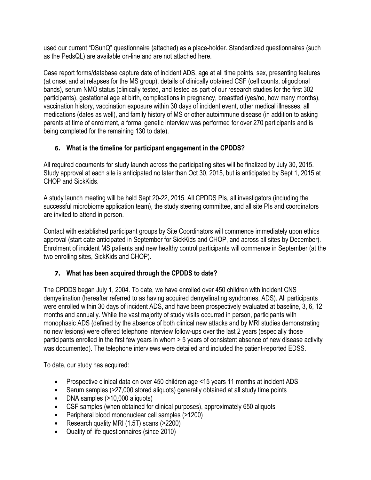used our current "DSunQ" questionnaire (attached) as a place-holder. Standardized questionnaires (such as the PedsQL) are available on-line and are not attached here.

Case report forms/database capture date of incident ADS, age at all time points, sex, presenting features (at onset and at relapses for the MS group), details of clinically obtained CSF (cell counts, oligoclonal bands), serum NMO status (clinically tested, and tested as part of our research studies for the first 302 participants), gestational age at birth, complications in pregnancy, breastfed (yes/no, how many months), vaccination history, vaccination exposure within 30 days of incident event, other medical illnesses, all medications (dates as well), and family history of MS or other autoimmune disease (in addition to asking parents at time of enrolment, a formal genetic interview was performed for over 270 participants and is being completed for the remaining 130 to date).

# **6. What is the timeline for participant engagement in the CPDDS?**

All required documents for study launch across the participating sites will be finalized by July 30, 2015. Study approval at each site is anticipated no later than Oct 30, 2015, but is anticipated by Sept 1, 2015 at CHOP and SickKids.

A study launch meeting will be held Sept 20-22, 2015. All CPDDS PIs, all investigators (including the successful microbiome application team), the study steering committee, and all site PIs and coordinators are invited to attend in person.

Contact with established participant groups by Site Coordinators will commence immediately upon ethics approval (start date anticipated in September for SickKids and CHOP, and across all sites by December). Enrolment of incident MS patients and new healthy control participants will commence in September (at the two enrolling sites, SickKids and CHOP).

# **7. What has been acquired through the CPDDS to date?**

The CPDDS began July 1, 2004. To date, we have enrolled over 450 children with incident CNS demyelination (hereafter referred to as having acquired demyelinating syndromes, ADS). All participants were enrolled within 30 days of incident ADS, and have been prospectively evaluated at baseline, 3, 6, 12 months and annually. While the vast majority of study visits occurred in person, participants with monophasic ADS (defined by the absence of both clinical new attacks and by MRI studies demonstrating no new lesions) were offered telephone interview follow-ups over the last 2 years (especially those participants enrolled in the first few years in whom > 5 years of consistent absence of new disease activity was documented). The telephone interviews were detailed and included the patient-reported EDSS.

To date, our study has acquired:

- Prospective clinical data on over 450 children age <15 years 11 months at incident ADS
- Serum samples (>27,000 stored aliquots) generally obtained at all study time points
- DNA samples (>10,000 aliquots)
- CSF samples (when obtained for clinical purposes), approximately 650 aliquots
- Peripheral blood mononuclear cell samples (>1200)
- Research quality MRI (1.5T) scans (>2200)
- Quality of life questionnaires (since 2010)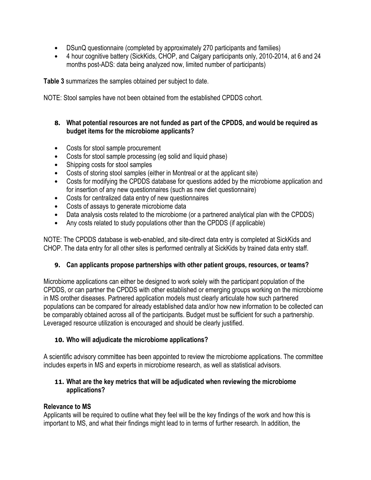- DSunQ questionnaire (completed by approximately 270 participants and families)
- 4 hour cognitive battery (SickKids, CHOP, and Calgary participants only, 2010-2014, at 6 and 24 months post-ADS: data being analyzed now, limited number of participants)

**Table 3** summarizes the samples obtained per subject to date.

NOTE: Stool samples have not been obtained from the established CPDDS cohort.

#### **8. What potential resources are not funded as part of the CPDDS, and would be required as budget items for the microbiome applicants?**

- Costs for stool sample procurement
- Costs for stool sample processing (eg solid and liquid phase)
- Shipping costs for stool samples
- Costs of storing stool samples (either in Montreal or at the applicant site)
- Costs for modifying the CPDDS database for questions added by the microbiome application and for insertion of any new questionnaires (such as new diet questionnaire)
- Costs for centralized data entry of new questionnaires
- Costs of assays to generate microbiome data
- Data analysis costs related to the microbiome (or a partnered analytical plan with the CPDDS)
- Any costs related to study populations other than the CPDDS (if applicable)

NOTE: The CPDDS database is web-enabled, and site-direct data entry is completed at SickKids and CHOP. The data entry for all other sites is performed centrally at SickKids by trained data entry staff.

## **9. Can applicants propose partnerships with other patient groups, resources, or teams?**

Microbiome applications can either be designed to work solely with the participant population of the CPDDS, or can partner the CPDDS with other established or emerging groups working on the microbiome in MS orother diseases. Partnered application models must clearly articulate how such partnered populations can be compared for already established data and/or how new information to be collected can be comparably obtained across all of the participants. Budget must be sufficient for such a partnership. Leveraged resource utilization is encouraged and should be clearly justified.

## **10. Who will adjudicate the microbiome applications?**

A scientific advisory committee has been appointed to review the microbiome applications. The committee includes experts in MS and experts in microbiome research, as well as statistical advisors.

### **11. What are the key metrics that will be adjudicated when reviewing the microbiome applications?**

## **Relevance to MS**

Applicants will be required to outline what they feel will be the key findings of the work and how this is important to MS, and what their findings might lead to in terms of further research. In addition, the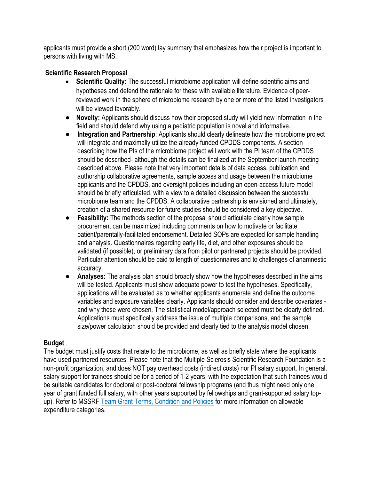applicants must provide a short (200 word) lay summary that emphasizes how their project is important to persons with living with MS.

## **Scientific Research Proposal**

- **Scientific Quality:** The successful microbiome application will define scientific aims and hypotheses and defend the rationale for these with available literature. Evidence of peerreviewed work in the sphere of microbiome research by one or more of the listed investigators will be viewed favorably.
- **• Novelty:** Applicants should discuss how their proposed study will yield new information in the field and should defend why using a pediatric population is novel and informative.
- **• Integration and Partnership**: Applicants should clearly delineate how the microbiome project will integrate and maximally utilize the already funded CPDDS components. A section describing how the PIs of the microbiome project will work with the PI team of the CPDDS should be described- although the details can be finalized at the September launch meeting described above. Please note that very important details of data access, publication and authorship collaborative agreements, sample access and usage between the microbiome applicants and the CPDDS, and oversight policies including an open-access future model should be briefly articulated, with a view to a detailed discussion between the successful microbiome team and the CPDDS. A collaborative partnership is envisioned and ultimately, creation of a shared resource for future studies should be considered a key objective.
- **• Feasibility:** The methods section of the proposal should articulate clearly how sample procurement can be maximized including comments on how to motivate or facilitate patient/parentally-facilitated endorsement. Detailed SOPs are expected for sample handling and analysis. Questionnaires regarding early life, diet, and other exposures should be validated (if possible), or preliminary data from pilot or partnered projects should be provided. Particular attention should be paid to length of questionnaires and to challenges of anamnestic accuracy.
- **• Analyses:** The analysis plan should broadly show how the hypotheses described in the aims will be tested. Applicants must show adequate power to test the hypotheses. Specifically, applications will be evaluated as to whether applicants enumerate and define the outcome variables and exposure variables clearly. Applicants should consider and describe covariates and why these were chosen. The statistical model/approach selected must be clearly defined. Applications must specifically address the issue of multiple comparisons, and the sample size/power calculation should be provided and clearly tied to the analysis model chosen.

#### **Budget**

The budget must justify costs that relate to the microbiome, as well as briefly state where the applicants have used partnered resources. Please note that the Multiple Sclerosis Scientific Research Foundation is a non-profit organization, and does NOT pay overhead costs (indirect costs) nor PI salary support. In general, salary support for trainees should be for a period of 1-2 years, with the expectation that such trainees would be suitable candidates for doctoral or post-doctoral fellowship programs (and thus might need only one year of grant funded full salary, with other years supported by fellowships and grant-supported salary top-up). Refer to MSSRF Team Grant Terms, [Condition](https://beta.mssociety.ca/uploads/files/mssrf-team-grant-policies-final-en-2015.pdf) and Policies for more information on allowable expenditure categories.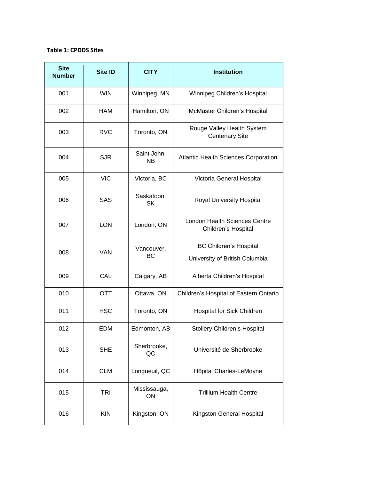#### **Table 1: CPDDS Sites**

| <b>Site</b><br><b>Number</b> | <b>Site ID</b> | <b>CITY</b>              | <b>Institution</b>                                          |  |  |  |  |
|------------------------------|----------------|--------------------------|-------------------------------------------------------------|--|--|--|--|
| 001                          | <b>WIN</b>     | Winnipeg, MN             | Winnipeg Children's Hospital                                |  |  |  |  |
| 002                          | <b>HAM</b>     | Hamilton, ON             | McMaster Children's Hospital                                |  |  |  |  |
| 003                          | <b>RVC</b>     | Toronto, ON              | Rouge Valley Health System<br><b>Centenary Site</b>         |  |  |  |  |
| 004                          | <b>SJR</b>     | Saint John,<br><b>NB</b> | <b>Atlantic Health Sciences Corporation</b>                 |  |  |  |  |
| 005                          | <b>VIC</b>     | Victoria, BC             | Victoria General Hospital                                   |  |  |  |  |
| 006                          | <b>SAS</b>     | Saskatoon,<br><b>SK</b>  | Royal University Hospital                                   |  |  |  |  |
| 007                          | <b>LON</b>     | London, ON               | <b>London Health Sciences Centre</b><br>Children's Hospital |  |  |  |  |
| 008                          | <b>VAN</b>     | Vancouver,               | <b>BC Children's Hospital</b>                               |  |  |  |  |
|                              |                | ВC                       | University of British Columbia                              |  |  |  |  |
| 009                          | CAL            | Calgary, AB              | Alberta Children's Hospital                                 |  |  |  |  |
| 010                          | <b>OTT</b>     | Ottawa, ON               | Children's Hospital of Eastern Ontario                      |  |  |  |  |
| 011                          | <b>HSC</b>     | Toronto, ON              | Hospital for Sick Children                                  |  |  |  |  |
| 012                          | <b>EDM</b>     | Edmonton, AB             | <b>Stollery Children's Hospital</b>                         |  |  |  |  |
| 013                          | <b>SHE</b>     | Sherbrooke,<br>QC        | Université de Sherbrooke                                    |  |  |  |  |
| 014                          | <b>CLM</b>     | Longueuil, QC            | Hôpital Charles-LeMoyne                                     |  |  |  |  |
| 015                          | <b>TRI</b>     | Mississauga,<br>ON       | <b>Trillium Health Centre</b>                               |  |  |  |  |
| 016                          | <b>KIN</b>     | Kingston, ON             | Kingston General Hospital                                   |  |  |  |  |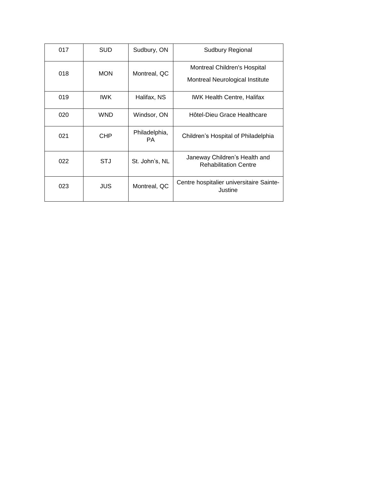| 017 | <b>SUD</b> | Sudbury, ON          | Sudbury Regional                                                |
|-----|------------|----------------------|-----------------------------------------------------------------|
| 018 | <b>MON</b> | Montreal, QC         | Montreal Children's Hospital<br>Montreal Neurological Institute |
| 019 | IWK.       | Halifax, NS          | <b>IWK Health Centre, Halifax</b>                               |
| 020 | <b>WND</b> | Windsor, ON          | Hôtel-Dieu Grace Healthcare                                     |
| 021 | <b>CHP</b> | Philadelphia,<br>PA. | Children's Hospital of Philadelphia                             |
| 022 | STJ        | St. John's, NL       | Janeway Children's Health and<br><b>Rehabilitation Centre</b>   |
| 023 | JUS        | Montreal, QC         | Centre hospitalier universitaire Sainte-<br>Justine             |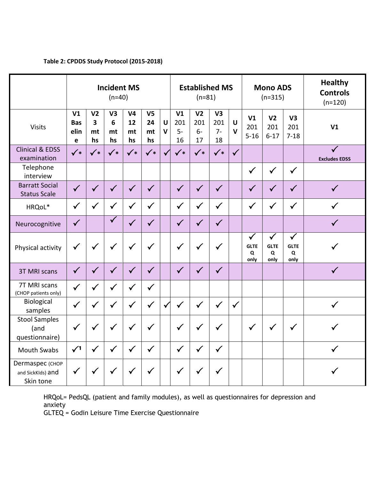|                                                   | <b>Incident MS</b><br>$(n=40)$            |                                                       |                                 |                                  |                                  | <b>Established MS</b><br>$(n=81)$ |                                     |                                      | <b>Mono ADS</b><br>$(n=315)$ |                        |                                          | <b>Healthy</b><br><b>Controls</b><br>$(n=120)$ |                                          |                                      |
|---------------------------------------------------|-------------------------------------------|-------------------------------------------------------|---------------------------------|----------------------------------|----------------------------------|-----------------------------------|-------------------------------------|--------------------------------------|------------------------------|------------------------|------------------------------------------|------------------------------------------------|------------------------------------------|--------------------------------------|
| <b>Visits</b>                                     | V <sub>1</sub><br><b>Bas</b><br>elin<br>e | V <sub>2</sub><br>$\overline{\mathbf{3}}$<br>mt<br>hs | V <sub>3</sub><br>6<br>mt<br>hs | V <sub>4</sub><br>12<br>mt<br>hs | V <sub>5</sub><br>24<br>mt<br>hs | $\mathbf U$<br>$\mathbf{V}$       | V <sub>1</sub><br>201<br>$5-$<br>16 | V <sub>2</sub><br>201<br>$6 -$<br>17 | V3<br>201<br>$7-$<br>18      | $\cup$<br>$\mathbf{V}$ | V <sub>1</sub><br>201<br>$5 - 16$        | V <sub>2</sub><br>201<br>$6 - 17$              | V3<br>201<br>$7 - 18$                    | V <sub>1</sub>                       |
| <b>Clinical &amp; EDSS</b><br>examination         | $\checkmark$                              | $\checkmark$                                          | $\checkmark$                    | $\checkmark$                     | $\checkmark$                     | $\checkmark$                      | $\checkmark$                        | $\checkmark$                         | $\checkmark$                 | $\checkmark$           |                                          |                                                |                                          | $\checkmark$<br><b>Excludes EDSS</b> |
| Telephone<br>interview                            |                                           |                                                       |                                 |                                  |                                  |                                   |                                     |                                      |                              |                        | $\checkmark$                             | $\checkmark$                                   | $\checkmark$                             |                                      |
| <b>Barratt Social</b><br><b>Status Scale</b>      | $\checkmark$                              | $\checkmark$                                          | $\checkmark$                    | $\checkmark$                     | $\checkmark$                     |                                   | $\checkmark$                        | $\checkmark$                         | $\checkmark$                 |                        | $\checkmark$                             | $\checkmark$                                   | $\checkmark$                             | $\checkmark$                         |
| HRQoL*                                            | $\checkmark$                              | $\checkmark$                                          | $\checkmark$                    | $\checkmark$                     | $\checkmark$                     |                                   | $\checkmark$                        | $\checkmark$                         | $\checkmark$                 |                        | $\checkmark$                             | $\checkmark$                                   | $\checkmark$                             | $\checkmark$                         |
| Neurocognitive                                    | $\checkmark$                              |                                                       | $\checkmark$                    | $\checkmark$                     | $\checkmark$                     |                                   | $\checkmark$                        | $\checkmark$                         | $\checkmark$                 |                        |                                          |                                                |                                          | $\checkmark$                         |
| Physical activity                                 | $\checkmark$                              | $\checkmark$                                          | $\checkmark$                    | $\checkmark$                     | $\checkmark$                     |                                   | $\checkmark$                        | $\checkmark$                         | $\checkmark$                 |                        | $\checkmark$<br><b>GLTE</b><br>Q<br>only | $\checkmark$<br><b>GLTE</b><br>Q<br>only       | $\checkmark$<br><b>GLTE</b><br>Q<br>only | $\checkmark$                         |
| <b>3T MRI scans</b>                               | $\checkmark$                              | $\checkmark$                                          | $\sqrt{}$                       | $\checkmark$                     | $\checkmark$                     |                                   | $\checkmark$                        | $\sqrt{}$                            | $\checkmark$                 |                        |                                          |                                                |                                          | $\checkmark$                         |
| 7T MRI scans<br>(CHOP patients only)              | $\checkmark$                              | $\checkmark$                                          | $\checkmark$                    | $\checkmark$                     | $\checkmark$                     |                                   |                                     |                                      |                              |                        |                                          |                                                |                                          |                                      |
| Biological<br>samples                             | $\checkmark$                              | $\checkmark$                                          | $\checkmark$                    | $\checkmark$                     | $\checkmark$                     | $\checkmark$                      | $\checkmark$                        | $\checkmark$                         | $\checkmark$                 | $\checkmark$           |                                          |                                                |                                          | $\checkmark$                         |
| <b>Stool Samples</b><br>(and<br>questionnaire)    | $\checkmark$                              | $\checkmark$                                          | $\checkmark$                    | $\checkmark$                     | $\checkmark$                     |                                   | $\checkmark$                        | $\checkmark$                         | $\checkmark$                 |                        | $\checkmark$                             | $\checkmark$                                   | $\checkmark$                             | ✓                                    |
| <b>Mouth Swabs</b>                                | $\sqrt{1}$                                | $\checkmark$                                          | $\checkmark$                    | $\checkmark$                     | $\checkmark$                     |                                   | $\checkmark$                        | $\checkmark$                         | $\checkmark$                 |                        |                                          |                                                |                                          | $\checkmark$                         |
| Dermaspec (СНОР<br>and SickKIds) and<br>Skin tone | $\checkmark$                              | $\checkmark$                                          | $\checkmark$                    | $\checkmark$                     | $\checkmark$                     |                                   | $\checkmark$                        | $\checkmark$                         | $\checkmark$                 |                        |                                          |                                                |                                          |                                      |

## **Table 2: CPDDS Study Protocol (2015-2018)**

HRQoL= PedsQL (patient and family modules), as well as questionnaires for depression and anxiety

GLTEQ = Godin Leisure Time Exercise Questionnaire